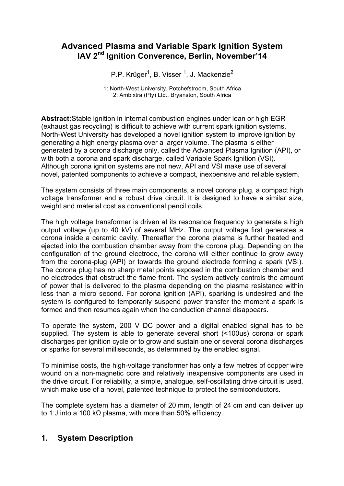# **Advanced Plasma and Variable Spark Ignition System IAV 2nd Ignition Converence, Berlin, November'14**

P.P. Krüger<sup>1</sup>, B. Visser <sup>1</sup>, J. Mackenzie<sup>2</sup>

1: North-West University, Potchefstroom, South Africa 2: Ambixtra (Pty) Ltd., Bryanston, South Africa

**Abstract:**Stable ignition in internal combustion engines under lean or high EGR (exhaust gas recycling) is difficult to achieve with current spark ignition systems. North-West University has developed a novel ignition system to improve ignition by generating a high energy plasma over a larger volume. The plasma is either generated by a corona discharge only, called the Advanced Plasma Ignition (API), or with both a corona and spark discharge, called Variable Spark Ignition (VSI). Although corona ignition systems are not new, API and VSI make use of several novel, patented components to achieve a compact, inexpensive and reliable system.

The system consists of three main components, a novel corona plug, a compact high voltage transformer and a robust drive circuit. It is designed to have a similar size, weight and material cost as conventional pencil coils.

The high voltage transformer is driven at its resonance frequency to generate a high output voltage (up to 40 kV) of several MHz. The output voltage first generates a corona inside a ceramic cavity. Thereafter the corona plasma is further heated and ejected into the combustion chamber away from the corona plug. Depending on the configuration of the ground electrode, the corona will either continue to grow away from the corona-plug (API) or towards the ground electrode forming a spark (VSI). The corona plug has no sharp metal points exposed in the combustion chamber and no electrodes that obstruct the flame front. The system actively controls the amount of power that is delivered to the plasma depending on the plasma resistance within less than a micro second. For corona ignition (API), sparking is undesired and the system is configured to temporarily suspend power transfer the moment a spark is formed and then resumes again when the conduction channel disappears.

To operate the system, 200 V DC power and a digital enabled signal has to be supplied. The system is able to generate several short (<100us) corona or spark discharges per ignition cycle or to grow and sustain one or several corona discharges or sparks for several milliseconds, as determined by the enabled signal.

To minimise costs, the high-voltage transformer has only a few metres of copper wire wound on a non-magnetic core and relatively inexpensive components are used in the drive circuit. For reliability, a simple, analogue, self-oscillating drive circuit is used, which make use of a novel, patented technique to protect the semiconductors.

The complete system has a diameter of 20 mm, length of 24 cm and can deliver up to 1 J into a 100 kΩ plasma, with more than 50% efficiency.

# **1. System Description**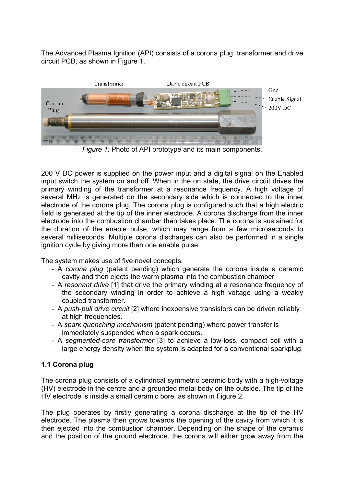The Advanced Plasma Ignition (API) consists of a corona plug, transformer and drive circuit PCB, as shown in Figure 1.



*Figure 1:* Photo of API prototype and its main components.

200 V DC power is supplied on the power input and a digital signal on the Enabled input switch the system on and off. When in the on state, the drive circuit drives the primary winding of the transformer at a resonance frequency. A high voltage of several MHz is generated on the secondary side which is connected to the inner electrode of the corona plug. The corona plug is configured such that a high electric field is generated at the tip of the inner electrode. A corona discharge from the inner electrode into the combustion chamber then takes place. The corona is sustained for the duration of the enable pulse, which may range from a few microseconds to several milliseconds. Multiple corona discharges can also be performed in a single ignition cycle by giving more than one enable pulse.

The system makes use of five novel concepts:

- A *corona plug* (patent pending) which generate the corona inside a ceramic cavity and then ejects the warm plasma into the combustion chamber
- A *resonant drive* [1] that drive the primary winding at a resonance frequency of the secondary winding in order to achieve a high voltage using a weakly coupled transformer.
- A *push-pull drive circuit* [2] where inexpensive transistors can be driven reliably at high frequencies.
- A *spark quenching mechanism* (patent pending) where power transfer is immediately suspended when a spark occurs.
- A *segmented-core transformer* [3] to achieve a low-loss, compact coil with a large energy density when the system is adapted for a conventional sparkplug.

## **1.1 Corona plug**

The corona plug consists of a cylindrical symmetric ceramic body with a high-voltage (HV) electrode in the centre and a grounded metal body on the outside. The tip of the HV electrode is inside a small ceramic bore, as shown in Figure 2.

The plug operates by firstly generating a corona discharge at the tip of the HV electrode. The plasma then grows towards the opening of the cavity from which it is then ejected into the combustion chamber. Depending on the shape of the ceramic and the position of the ground electrode, the corona will either grow away from the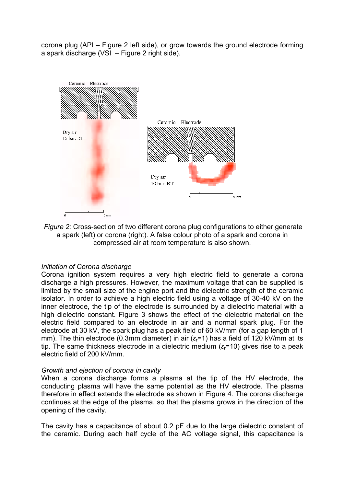corona plug (API – Figure 2 left side), or grow towards the ground electrode forming a spark discharge (VSI – Figure 2 right side).



*Figure 2:* Cross-section of two different corona plug configurations to either generate a spark (left) or corona (right). A false colour photo of a spark and corona in compressed air at room temperature is also shown.

#### *Initiation of Corona discharge*

Corona ignition system requires a very high electric field to generate a corona discharge a high pressures. However, the maximum voltage that can be supplied is limited by the small size of the engine port and the dielectric strength of the ceramic isolator. In order to achieve a high electric field using a voltage of 30-40 kV on the inner electrode, the tip of the electrode is surrounded by a dielectric material with a high dielectric constant. Figure 3 shows the effect of the dielectric material on the electric field compared to an electrode in air and a normal spark plug. For the electrode at 30 kV, the spark plug has a peak field of 60 kV/mm (for a gap length of 1 mm). The thin electrode (0.3mm diameter) in air (*ε*r=1) has a field of 120 kV/mm at its tip. The same thickness electrode in a dielectric medium (ε<sub>r</sub>=10) gives rise to a peak electric field of 200 kV/mm.

#### *Growth and ejection of corona in cavity*

When a corona discharge forms a plasma at the tip of the HV electrode, the conducting plasma will have the same potential as the HV electrode. The plasma therefore in effect extends the electrode as shown in Figure 4. The corona discharge continues at the edge of the plasma, so that the plasma grows in the direction of the opening of the cavity.

The cavity has a capacitance of about 0.2 pF due to the large dielectric constant of the ceramic. During each half cycle of the AC voltage signal, this capacitance is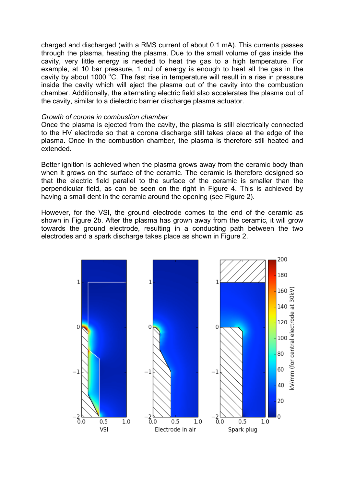charged and discharged (with a RMS current of about 0.1 mA). This currents passes through the plasma, heating the plasma. Due to the small volume of gas inside the cavity, very little energy is needed to heat the gas to a high temperature. For example, at 10 bar pressure, 1 mJ of energy is enough to heat all the gas in the cavity by about 1000  $\degree$ C. The fast rise in temperature will result in a rise in pressure inside the cavity which will eject the plasma out of the cavity into the combustion chamber. Additionally, the alternating electric field also accelerates the plasma out of the cavity, similar to a dielectric barrier discharge plasma actuator.

#### *Growth of corona in combustion chamber*

Once the plasma is ejected from the cavity, the plasma is still electrically connected to the HV electrode so that a corona discharge still takes place at the edge of the plasma. Once in the combustion chamber, the plasma is therefore still heated and extended.

Better ignition is achieved when the plasma grows away from the ceramic body than when it grows on the surface of the ceramic. The ceramic is therefore designed so that the electric field parallel to the surface of the ceramic is smaller than the perpendicular field, as can be seen on the right in Figure 4. This is achieved by having a small dent in the ceramic around the opening (see Figure 2).

However, for the VSI, the ground electrode comes to the end of the ceramic as shown in Figure 2b. After the plasma has grown away from the ceramic, it will grow towards the ground electrode, resulting in a conducting path between the two electrodes and a spark discharge takes place as shown in Figure 2.

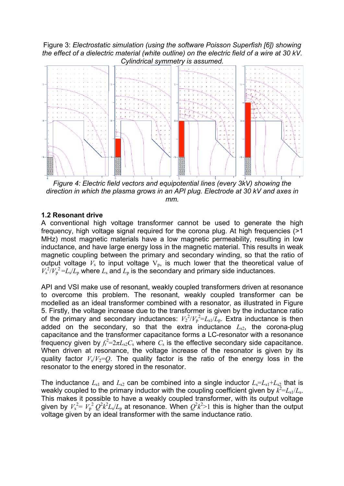Figure 3: *Electrostatic simulation (using the software Poisson Superfish [6]) showing the effect of a dielectric material (white outline) on the electric field of a wire at 30 kV. Cylindrical symmetry is assumed.*



*Figure 4: Electric field vectors and equipotential lines (every 3kV) showing the direction in which the plasma grows in an API plug. Electrode at 30 kV and axes in mm.*

#### **1.2 Resonant drive**

A conventional high voltage transformer cannot be used to generate the high frequency, high voltage signal required for the corona plug. At high frequencies (>1 MHz) most magnetic materials have a low magnetic permeability, resulting in low inductance, and have large energy loss in the magnetic material. This results in weak magnetic coupling between the primary and secondary winding, so that the ratio of output voltage  $V_s$  to input voltage  $V_p$ , is much lower that the theoretical value of  $V_s^2/V_p^2 = L_s/L_p$  where  $L_s$  and  $L_p$  is the secondary and primary side inductances.

API and VSI make use of resonant, weakly coupled transformers driven at resonance to overcome this problem. The resonant, weakly coupled transformer can be modelled as an ideal transformer combined with a resonator, as illustrated in Figure 5. Firstly, the voltage increase due to the transformer is given by the inductance ratio of the primary and secondary inductances:  $V_2^2/V_p^2 = L_{s1}/L_p$ . Extra inductance is then added on the secondary, so that the extra inductance  $L_{s2}$ , the corona-plug capacitance and the transformer capacitance forms a LC-resonator with a resonance frequency given by  $f_r^2 = 2\pi L_{s2} C_s$  where  $C_s$  is the effective secondary side capacitance. When driven at resonance, the voltage increase of the resonator is given by its quality factor  $V_s/V_2=Q$ . The quality factor is the ratio of the energy loss in the resonator to the energy stored in the resonator.

The inductance  $L_{s1}$  and  $L_{s2}$  can be combined into a single inductor  $L_s = L_{s1} + L_{s2}$  that is weakly coupled to the primary inductor with the coupling coefficient given by  $k^2 = L_{s1}/L_s$ . This makes it possible to have a weakly coupled transformer, with its output voltage given by  $V_s^2 = V_p^2 Q^2 k^2 L_s/L_p$  at resonance. When  $Q^2 k^2 > 1$  this is higher than the output voltage given by an ideal transformer with the same inductance ratio.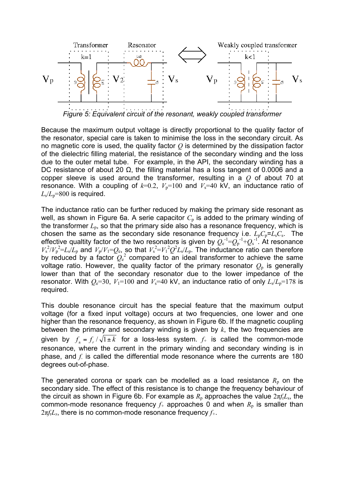

*Figure 5: Equivalent circuit of the resonant, weakly coupled transformer*

Because the maximum output voltage is directly proportional to the quality factor of the resonator, special care is taken to minimise the loss in the secondary circuit. As no magnetic core is used, the quality factor *Q* is determined by the dissipation factor of the dielectric filling material, the resistance of the secondary winding and the loss due to the outer metal tube. For example, in the API, the secondary winding has a DC resistance of about 20 Ω, the filling material has a loss tangent of 0.0006 and a copper sleeve is used around the transformer, resulting in a *Q* of about 70 at resonance. With a coupling of  $k=0.2$ ,  $V_p=100$  and  $V_s=40$  kV, an inductance ratio of  $L_s/L_p=800$  is required.

The inductance ratio can be further reduced by making the primary side resonant as well, as shown in Figure 6a. A serie capacitor  $C<sub>p</sub>$  is added to the primary winding of the transformer  $L<sub>p</sub>$ , so that the primary side also has a resonance frequency, which is chosen the same as the secondary side resonance frequency i.e.  $L_pC_p = L_sC_s$ . The effective qualtity factor of the two resonators is given by  $Q_{e}^{-1} = Q_{p}^{-1} + Q_{s}^{-1}$ . At resonance  $V_s^2/V_p^2 = L_s/L_p$  and  $V_p/V_1 = Q_e$ , so that  $V_s^2 = V_1^2 Q^2 L_s/L_p$ . The inductance ratio can therefore by reduced by a factor  $Q_{e}^{2}$  compared to an ideal transformer to achieve the same voltage ratio. However, the quality factor of the primary resonator  $Q_{\rm p}$  is generally lower than that of the secondary resonator due to the lower impedance of the resonator. With  $Q_e=30$ ,  $V_1=100$  and  $V_s=40$  kV, an inductance ratio of only  $L_s/L_p=178$  is required.

This double resonance circuit has the special feature that the maximum output voltage (for a fixed input voltage) occurs at two frequencies, one lower and one higher than the resonance frequency, as shown in Figure 6b. If the magnetic coupling between the primary and secondary winding is given by *k*, the two frequencies are given by  $f_{\pm} = f_r / \sqrt{1 \pm k}$  for a loss-less system.  $f_{\pm}$  is called the common-mode resonance, where the current in the primary winding and secondary winding is in phase, and *f-* is called the differential mode resonance where the currents are 180 degrees out-of-phase.

The generated corona or spark can be modelled as a load resistance  $R_p$  on the secondary side. The effect of this resistance is to change the frequency behaviour of the circuit as shown in Figure 6b. For example as  $R_p$  approaches the value  $2\pi f_t L_s$ , the common-mode resonance frequency  $f_{+}$  approaches 0 and when  $R_{p}$  is smaller than 2π*f*r*Ls*, there is no common-mode resonance frequency *f+*.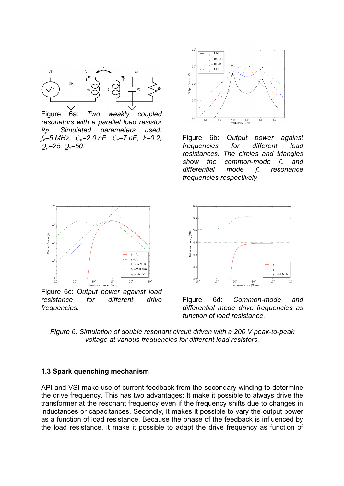

Figure 6a: *Two weakly coupled resonators with a parallel load resistor Rp. Simulated parameters used: fr=5 MHz, Cp=2.0 nF, Cs=7 nF, k=0.2, Qp=25, Qs=50.*



Figure 6b: *Output power against frequencies for different load resistances. The circles and triangles show the common-mode f+ and differential mode f- resonance frequencies respectively* 



Figure 6c: *Output power against load resistance for different drive frequencies.*



Figure 6d: *Common-mode and differential mode drive frequencies as function of load resistance.*

*Figure 6: Simulation of double resonant circuit driven with a 200 V peak-to-peak voltage at various frequencies for different load resistors.*

#### **1.3 Spark quenching mechanism**

API and VSI make use of current feedback from the secondary winding to determine the drive frequency. This has two advantages: It make it possible to always drive the transformer at the resonant frequency even if the frequency shifts due to changes in inductances or capacitances. Secondly, it makes it possible to vary the output power as a function of load resistance. Because the phase of the feedback is influenced by the load resistance, it make it possible to adapt the drive frequency as function of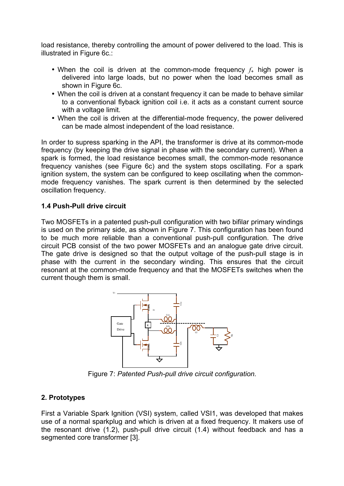load resistance, thereby controlling the amount of power delivered to the load. This is illustrated in Figure 6c.:

- When the coil is driven at the common-mode frequency *f*<sup>+</sup> high power is delivered into large loads, but no power when the load becomes small as shown in Figure 6c.
- When the coil is driven at a constant frequency it can be made to behave similar to a conventional flyback ignition coil i.e. it acts as a constant current source with a voltage limit.
- When the coil is driven at the differential-mode frequency, the power delivered can be made almost independent of the load resistance.

In order to supress sparking in the API, the transformer is drive at its common-mode frequency (by keeping the drive signal in phase with the secondary current). When a spark is formed, the load resistance becomes small, the common-mode resonance frequency vanishes (see Figure 6c) and the system stops oscillating. For a spark ignition system, the system can be configured to keep oscillating when the commonmode frequency vanishes. The spark current is then determined by the selected oscillation frequency.

## **1.4 Push-Pull drive circuit**

Two MOSFETs in a patented push-pull configuration with two bifilar primary windings is used on the primary side, as shown in Figure 7. This configuration has been found to be much more reliable than a conventional push-pull configuration. The drive circuit PCB consist of the two power MOSFETs and an analogue gate drive circuit. The gate drive is designed so that the output voltage of the push-pull stage is in phase with the current in the secondary winding. This ensures that the circuit resonant at the common-mode frequency and that the MOSFETs switches when the current though them is small.



Figure 7: *Patented Push-pull drive circuit configuration.*

## **2. Prototypes**

First a Variable Spark Ignition (VSI) system, called VSI1, was developed that makes use of a normal sparkplug and which is driven at a fixed frequency. It makers use of the resonant drive (1.2), push-pull drive circuit (1.4) without feedback and has a segmented core transformer [3].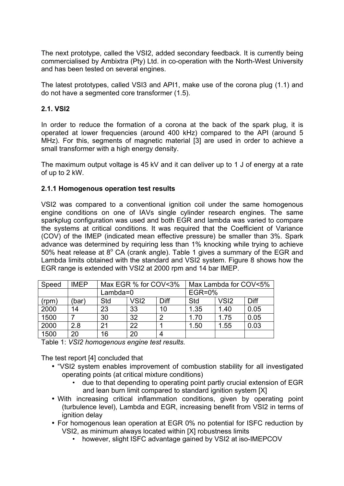The next prototype, called the VSI2, added secondary feedback. It is currently being commercialised by Ambixtra (Pty) Ltd. in co-operation with the North-West University and has been tested on several engines.

The latest prototypes, called VSI3 and API1, make use of the corona plug (1.1) and do not have a segmented core transformer (1.5).

#### **2.1. VSI2**

In order to reduce the formation of a corona at the back of the spark plug, it is operated at lower frequencies (around 400 kHz) compared to the API (around 5 MHz). For this, segments of magnetic material [3] are used in order to achieve a small transformer with a high energy density.

The maximum output voltage is 45 kV and it can deliver up to 1 J of energy at a rate of up to 2 kW.

#### **2.1.1 Homogenous operation test results**

VSI2 was compared to a conventional ignition coil under the same homogenous engine conditions on one of IAVs single cylinder research engines. The same sparkplug configuration was used and both EGR and lambda was varied to compare the systems at critical conditions. It was required that the Coefficient of Variance (COV) of the IMEP (indicated mean effective pressure) be smaller than 3%. Spark advance was determined by requiring less than 1% knocking while trying to achieve 50% heat release at  $8^{\circ}$  CA (crank angle). Table 1 gives a summary of the EGR and Lambda limits obtained with the standard and VSI2 system. Figure 8 shows how the EGR range is extended with VSI2 at 2000 rpm and 14 bar IMEP.

| Speed | <b>IMEP</b> | Max EGR % for COV<3% |                  |      | Max Lambda for COV<5% |                  |      |
|-------|-------------|----------------------|------------------|------|-----------------------|------------------|------|
|       |             | $Lambda=0$           |                  |      | <b>EGR=0%</b>         |                  |      |
| (rpm) | ˈbar)       | Std                  | VS <sub>12</sub> | Diff | Std                   | VS <sub>12</sub> | Diff |
| 2000  | 14          | 23                   | 33               | 10   | 1.35                  | 1.40             | 0.05 |
| 1500  |             | 30                   | 32               | ົ    | 1.70                  | 1.75             | 0.05 |
| 2000  | 2.8         | 21                   | 22               |      | 1.50                  | 1.55             | 0.03 |
| 1500  | 20          | 16                   | 20               | 4    |                       |                  |      |

Table 1: *VSI2 homogenous engine test results.* 

The test report [4] concluded that

- "VSI2 system enables improvement of combustion stability for all investigated operating points (at critical mixture conditions)
	- due to that depending to operating point partly crucial extension of EGR and lean burn limit compared to standard ignition system [X]
- With increasing critical inflammation conditions, given by operating point (turbulence level), Lambda and EGR, increasing benefit from VSI2 in terms of ignition delay
- For homogenous lean operation at EGR 0% no potential for ISFC reduction by VSI2, as minimum always located within [X] robustness limits
	- however, slight ISFC advantage gained by VSI2 at iso-IMEPCOV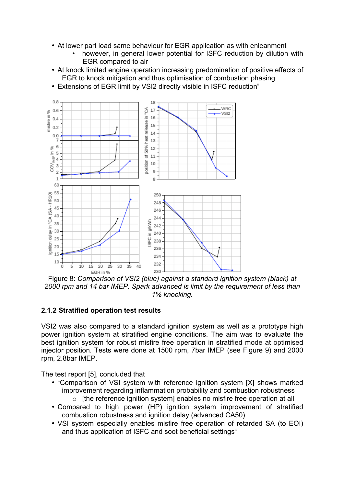- At lower part load same behaviour for EGR application as with enleanment
	- however, in general lower potential for ISFC reduction by dilution with EGR compared to air
- At knock limited engine operation increasing predomination of positive effects of EGR to knock mitigation and thus optimisation of combustion phasing
- Extensions of EGR limit by VSI2 directly visible in ISFC reduction"



Figure 8: *Comparison of VSI2 (blue) against a standard ignition system (black) at 2000 rpm and 14 bar IMEP. Spark advanced is limit by the requirement of less than 1% knocking.*

## **2.1.2 Stratified operation test results**

VSI2 was also compared to a standard ignition system as well as a prototype high power ignition system at stratified engine conditions. The aim was to evaluate the best ignition system for robust misfire free operation in stratified mode at optimised injector position. Tests were done at 1500 rpm, 7bar IMEP (see Figure 9) and 2000 rpm, 2.8bar IMEP.

The test report [5], concluded that

- "Comparison of VSI system with reference ignition system [X] shows marked improvement regarding inflammation probability and combustion robustness
	- o [the reference ignition system] enables no misfire free operation at all
- Compared to high power (HP) ignition system improvement of stratified combustion robustness and ignition delay (advanced CA50)
- VSI system especially enables misfire free operation of retarded SA (to EOI) and thus application of ISFC and soot beneficial settings"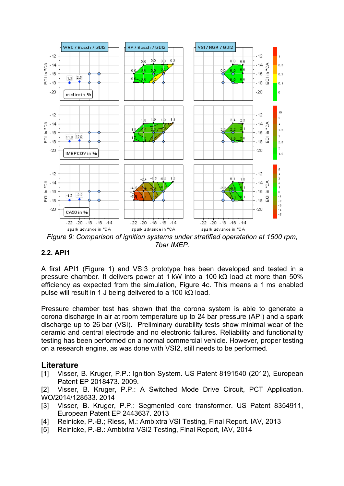

*Figure 9: Comparison of ignition systems under stratified operatation at 1500 rpm, 7bar IMEP.*

## **2.2. API1**

A first API1 (Figure 1) and VSI3 prototype has been developed and tested in a pressure chamber. It delivers power at 1 kW into a 100 kΩ load at more than 50% efficiency as expected from the simulation, Figure 4c. This means a 1 ms enabled pulse will result in 1 J being delivered to a 100 kΩ load.

Pressure chamber test has shown that the corona system is able to generate a corona discharge in air at room temperature up to 24 bar pressure (API) and a spark discharge up to 26 bar (VSI). Preliminary durability tests show minimal wear of the ceramic and central electrode and no electronic failures. Reliability and functionality testing has been performed on a normal commercial vehicle. However, proper testing on a research engine, as was done with VSI2, still needs to be performed.

## **Literature**

[1] Visser, B. Kruger, P.P.: Ignition System. US Patent 8191540 (2012), European Patent EP 2018473. 2009.

[2] Visser, B. Kruger, P.P.: A Switched Mode Drive Circuit, PCT Application. WO/2014/128533. 2014

- [3] Visser, B. Kruger, P.P.: Segmented core transformer. US Patent 8354911, European Patent EP 2443637. 2013
- [4] Reinicke, P.-B.; Riess, M.: Ambixtra VSI Testing, Final Report. IAV, 2013
- [5] Reinicke, P.-B.: Ambixtra VSI2 Testing, Final Report, IAV, 2014